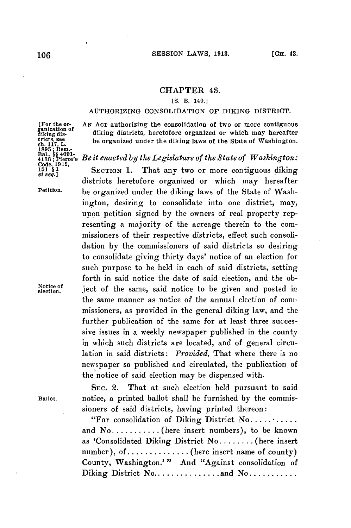## **CHAPTER 43.**

## *[S.* B. 149.]

## AUTHORIZING CONSOLIDATION OF **DIKING** DISTRICT.

districts heretofore organized or which may hereafter

ington, desiring to consolidate into one district, may, upon petition signed **by** the owners of real property representing a majority of the acreage therein to the commissioners of their respective districts, effect such consolidation **by** the commissioners of said districts so desiring to consolidate giving thirty days' notice of an election for such purpose to be held in each of said districts, setting forth in said notice the date of said election, and the ob-

the same manner as notice of the annual election of commissioners, as provided in the general diking law, and the further publication of the same for at least three successive issues in a weekly newspaper published in the county in which such districts are located, and of general circulation in said districts: *Provided,* That where there is no newspaper so published and circulated, the publication of

diking districts, heretofore organized or which may hereafter

[For the or- **AN ACT** authorizing the consolidation of two or more contiguous ganization **of** tricts, see<br>
that, L. be organized under the diking laws of the State of Washington.<br>
1895; Rem.<br>
1895; Rem.<br>
1896; Pierce's *Be it enacted by the Legislature of the State of Washington:*<br>
1816; Pierce's *Be it enacted by* 

Petition. be organized under the diking laws of the State of Wash-

Notice of  $\frac{1}{\left| \begin{array}{c} 1 \end{array} \right|}$  ject of the same, said notice to be given and posted in

**SEC.** 2. That at such election held pursuant to said **Ballot.** notice, a printed ballot shall be furnished **by** the commissioners of said districts, having printed thereon:

the notice of said election may be dispensed with.

"For consolidation of Diking District No **...........** and **No...........** (here insert numbers), to be known as 'Consolidated Diking District No **........** (here insert number), of...............(here insert name of county) County, Washington.'" And "Against consolidation of Diking District **No...............and No...........**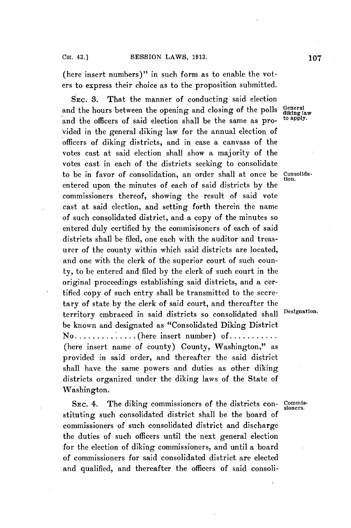(here insert numbers)" in such form as to enable the voters to express their choice as to the proposition submitted.

**SEC. 3.** That the manner of conducting said election and the hours between the opening and closing of the polls and the officers of said election shall be the same as provided in the general diking law for the annual election of officers of diking districts, and in case a canvass of the votes cast at said election shall show a majority of the votes cast in each of the districts seeking to consolidate to be in favor of consolidation, an order shall at once be Consolidaentered upon the minutes of each of said districts **by** the commissioners thereof, showing the result of said vote cast at said election, and setting forth therein the name of such consolidated district, and a copy of the minutes so entered duly certified **by** the commisisoners of each of said districts shall be filed, one each with the auditor and treasurer of the county within which said districts are located, and one with the clerk of the superior court of such county, to be entered and filed **by** the clerk of such court in the original proceedings establishing said districts, and a certified copy of such entry shall be transmitted to the secretary of state **by** the clerk of said court, and thereafter the territory embraced in said districts so consolidated shall Designation. be known and designated as "Consolidated Diking District **No..............** here insert number) of **...........** (here insert name of county) County, Washington," as provided in said order, and thereafter the said district shall have the same powers and duties as other diking districts organized under the diking laws of the State of Washington.

SEC. 4. The diking commissioners of the districts con- Commisstituting such consolidated district shall be the board of commissioners of such consolidated district and discharge the duties of such officers until the next general election for the election of diking commissioners, and until a board of commissioners for said consolidated district are elected and qualified, and thereafter the officers of said consoli-

**diking law**

tion.

sioners.